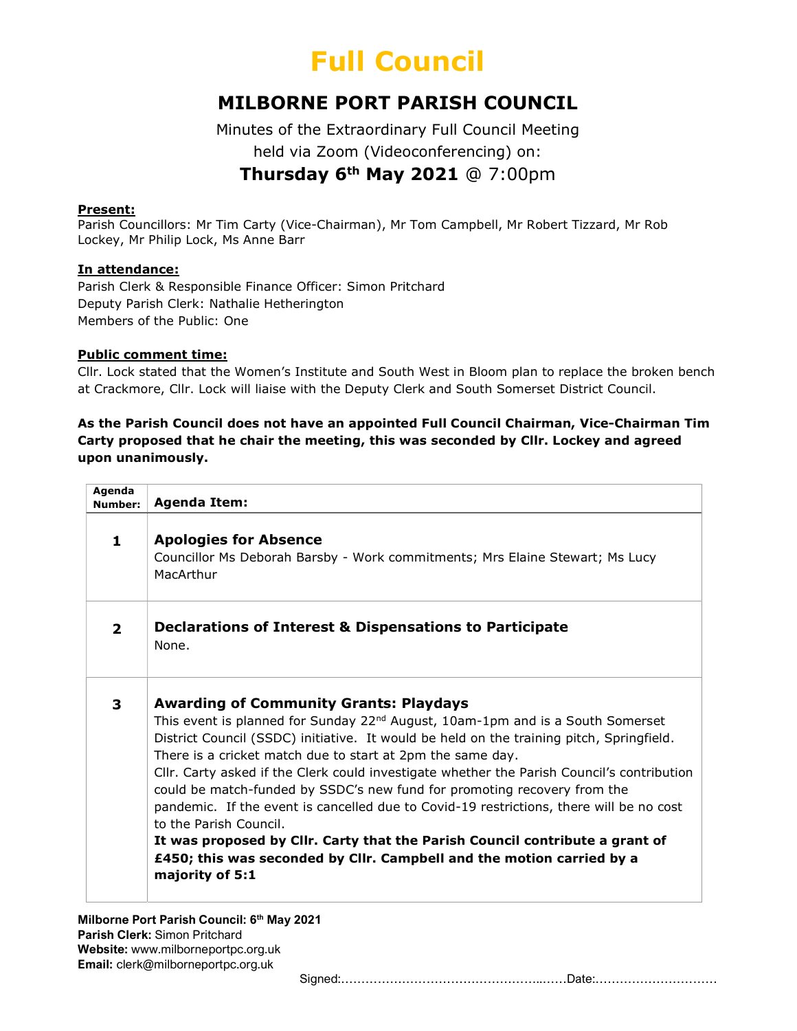## Full Council

### MILBORNE PORT PARISH COUNCIL

Minutes of the Extraordinary Full Council Meeting held via Zoom (Videoconferencing) on: Thursday  $6<sup>th</sup>$  May 2021 @ 7:00pm

#### Present:

Parish Councillors: Mr Tim Carty (Vice-Chairman), Mr Tom Campbell, Mr Robert Tizzard, Mr Rob Lockey, Mr Philip Lock, Ms Anne Barr

#### In attendance:

Parish Clerk & Responsible Finance Officer: Simon Pritchard Deputy Parish Clerk: Nathalie Hetherington Members of the Public: One

#### Public comment time:

Cllr. Lock stated that the Women's Institute and South West in Bloom plan to replace the broken bench at Crackmore, Cllr. Lock will liaise with the Deputy Clerk and South Somerset District Council.

#### As the Parish Council does not have an appointed Full Council Chairman, Vice-Chairman Tim Carty proposed that he chair the meeting, this was seconded by Cllr. Lockey and agreed upon unanimously.

| Agenda<br>Number: | <b>Agenda Item:</b>                                                                                                                                                                                                                                                                                                                                                                                                                                                                                                                                                                                                                                                                                                                                                              |
|-------------------|----------------------------------------------------------------------------------------------------------------------------------------------------------------------------------------------------------------------------------------------------------------------------------------------------------------------------------------------------------------------------------------------------------------------------------------------------------------------------------------------------------------------------------------------------------------------------------------------------------------------------------------------------------------------------------------------------------------------------------------------------------------------------------|
| $\mathbf{1}$      | <b>Apologies for Absence</b><br>Councillor Ms Deborah Barsby - Work commitments; Mrs Elaine Stewart; Ms Lucy<br>MacArthur                                                                                                                                                                                                                                                                                                                                                                                                                                                                                                                                                                                                                                                        |
| $\mathbf{2}$      | Declarations of Interest & Dispensations to Participate<br>None.                                                                                                                                                                                                                                                                                                                                                                                                                                                                                                                                                                                                                                                                                                                 |
| 3                 | <b>Awarding of Community Grants: Playdays</b><br>This event is planned for Sunday 22 <sup>nd</sup> August, 10am-1pm and is a South Somerset<br>District Council (SSDC) initiative. It would be held on the training pitch, Springfield.<br>There is a cricket match due to start at 2pm the same day.<br>Cllr. Carty asked if the Clerk could investigate whether the Parish Council's contribution<br>could be match-funded by SSDC's new fund for promoting recovery from the<br>pandemic. If the event is cancelled due to Covid-19 restrictions, there will be no cost<br>to the Parish Council.<br>It was proposed by Cllr. Carty that the Parish Council contribute a grant of<br>£450; this was seconded by Cllr. Campbell and the motion carried by a<br>majority of 5:1 |

Milborne Port Parish Council: 6th May 2021 Parish Clerk: Simon Pritchard Website: www.milborneportpc.org.uk Email: clerk@milborneportpc.org.uk

Signed:…………………………………………..……Date:…………………………